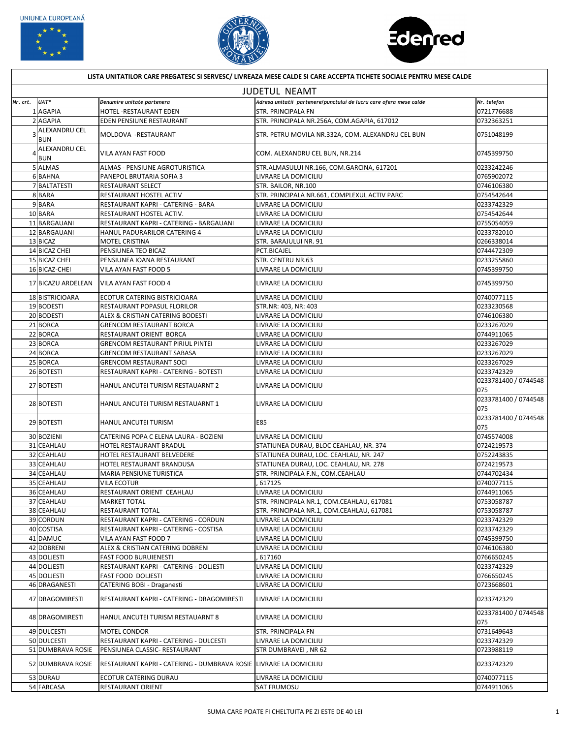





| LISTA UNITATILOR CARE PREGATESC SI SERVESC/ LIVREAZA MESE CALDE SI CARE ACCEPTA TICHETE SOCIALE PENTRU MESE CALDE |                             |                                                                   |                                                                    |                             |  |  |  |
|-------------------------------------------------------------------------------------------------------------------|-----------------------------|-------------------------------------------------------------------|--------------------------------------------------------------------|-----------------------------|--|--|--|
| <b>JUDETUL NEAMT</b>                                                                                              |                             |                                                                   |                                                                    |                             |  |  |  |
| Nr. crt.                                                                                                          | UAT*                        | Denumire unitate partenera                                        | Adresa unitatii partenere/punctului de lucru care ofera mese calde | Nr. telefon                 |  |  |  |
|                                                                                                                   | <b>AGAPIA</b>               | HOTEL - RESTAURANT EDEN                                           | <b>STR. PRINCIPALA FN</b>                                          | 0721776688                  |  |  |  |
|                                                                                                                   | 2 AGAPIA                    | EDEN PENSIUNE RESTAURANT                                          | STR. PRINCIPALA NR.256A, COM.AGAPIA, 617012                        | 0732363251                  |  |  |  |
|                                                                                                                   | ALEXANDRU CEL<br><b>BUN</b> | MOLDOVA - RESTAURANT                                              | STR. PETRU MOVILA NR.332A, COM. ALEXANDRU CEL BUN                  | 0751048199                  |  |  |  |
|                                                                                                                   | <b>ALEXANDRU CEL</b><br>BUN | <b>VILA AYAN FAST FOOD</b>                                        | COM. ALEXANDRU CEL BUN, NR.214                                     | 0745399750                  |  |  |  |
|                                                                                                                   | 5 ALMAS                     | ALMAS - PENSIUNE AGROTURISTICA                                    | STR.ALMASULUI NR.166, COM.GARCINA, 617201                          | 0233242246                  |  |  |  |
|                                                                                                                   | 6BAHNA                      | PANEPOL BRUTARIA SOFIA 3                                          | LIVRARE LA DOMICILIU                                               | 0765902072                  |  |  |  |
|                                                                                                                   | 7BALTATESTI                 | RESTAURANT SELECT                                                 | STR. BAILOR, NR.100                                                | 0746106380                  |  |  |  |
|                                                                                                                   | 8BARA                       | RESTAURANT HOSTEL ACTIV                                           | STR. PRINCIPALA NR.661, COMPLEXUL ACTIV PARC                       | 0754542644                  |  |  |  |
|                                                                                                                   | 9BARA                       |                                                                   | LIVRARE LA DOMICILIU                                               |                             |  |  |  |
|                                                                                                                   |                             | RESTAURANT KAPRI - CATERING - BARA                                |                                                                    | 0233742329                  |  |  |  |
|                                                                                                                   | 10BARA                      | RESTAURANT HOSTEL ACTIV.                                          | LIVRARE LA DOMICILIU                                               | 0754542644                  |  |  |  |
|                                                                                                                   | 11 BARGAUANI                | RESTAURANT KAPRI - CATERING - BARGAUANI                           | LIVRARE LA DOMICILIU                                               | 0755054059                  |  |  |  |
|                                                                                                                   | 12 BARGAUANI                | HANUL PADURARILOR CATERING 4                                      | LIVRARE LA DOMICILIU                                               | 0233782010                  |  |  |  |
|                                                                                                                   | 13 BICAZ                    | <b>MOTEL CRISTINA</b>                                             | STR. BARAJULUI NR. 91                                              | 0266338014                  |  |  |  |
|                                                                                                                   | 14 BICAZ CHEI               | PENSIUNEA TEO BICAZ                                               | PCT.BICAJEL                                                        | 0744472309                  |  |  |  |
|                                                                                                                   | 15 BICAZ CHEI               | PENSIUNEA IOANA RESTAURANT                                        | <b>STR. CENTRU NR.63</b>                                           | 0233255860                  |  |  |  |
|                                                                                                                   | 16 BICAZ-CHEI               | VILA AYAN FAST FOOD 5                                             | LIVRARE LA DOMICILIU                                               | 0745399750                  |  |  |  |
|                                                                                                                   | 17 BICAZU ARDELEAN          | VILA AYAN FAST FOOD 4                                             | LIVRARE LA DOMICILIU                                               | 0745399750                  |  |  |  |
|                                                                                                                   | 18 BISTRICIOARA             | ECOTUR CATERING BISTRICIOARA                                      | LIVRARE LA DOMICILIU                                               | 0740077115                  |  |  |  |
|                                                                                                                   | 19BODESTI                   | RESTAURANT POPASUL FLORILOR                                       | STR.NR: 403, NR: 403                                               | 0233230568                  |  |  |  |
|                                                                                                                   | 20 BODESTI                  | <b>ALEX &amp; CRISTIAN CATERING BODESTI</b>                       | LIVRARE LA DOMICILIU                                               | 0746106380                  |  |  |  |
|                                                                                                                   | 21BORCA                     | <b>GRENCOM RESTAURANT BORCA</b>                                   | LIVRARE LA DOMICILIU                                               | 0233267029                  |  |  |  |
|                                                                                                                   | 22 BORCA                    | RESTAURANT ORIENT BORCA                                           | LIVRARE LA DOMICILIU                                               | 0744911065                  |  |  |  |
|                                                                                                                   | 23 BORCA                    | <b>GRENCOM RESTAURANT PIRIUL PINTEI</b>                           | LIVRARE LA DOMICILIU                                               | 0233267029                  |  |  |  |
|                                                                                                                   | 24 BORCA                    | <b>GRENCOM RESTAURANT SABASA</b>                                  | LIVRARE LA DOMICILIU                                               | 0233267029                  |  |  |  |
|                                                                                                                   | 25 BORCA                    | <b>GRENCOM RESTAURANT SOCI</b>                                    | LIVRARE LA DOMICILIU                                               | 10233267029                 |  |  |  |
|                                                                                                                   | 26 BOTESTI                  | RESTAURANT KAPRI - CATERING - BOTESTI                             | LIVRARE LA DOMICILIU                                               | 0233742329                  |  |  |  |
|                                                                                                                   | 27 BOTESTI                  | HANUL ANCUTEI TURISM RESTAUARNT 2                                 | LIVRARE LA DOMICILIU                                               | 0233781400 / 0744548<br>075 |  |  |  |
|                                                                                                                   | 28 BOTESTI                  | HANUL ANCUTEI TURISM RESTAUARNT 1                                 | LIVRARE LA DOMICILIU                                               | 0233781400 / 0744548<br>075 |  |  |  |
|                                                                                                                   | 29 BOTESTI                  | HANUL ANCUTEI TURISM                                              | E85                                                                | 0233781400 / 0744548<br>075 |  |  |  |
|                                                                                                                   | 30 BOZIENI                  | CATERING POPA C ELENA LAURA - BOZIENI                             | LIVRARE LA DOMICILIU                                               | 0745574008                  |  |  |  |
|                                                                                                                   | 31 CEAHLAU                  | HOTEL RESTAURANT BRADUL                                           | STATIUNEA DURAU, BLOC CEAHLAU, NR. 374                             | 0724219573                  |  |  |  |
|                                                                                                                   | 32 CEAHLAU                  | HOTEL RESTAURANT BELVEDERE                                        | STATIUNEA DURAU, LOC. CEAHLAU, NR. 247                             | 0752243835                  |  |  |  |
|                                                                                                                   | 33 CEAHLAU                  | HOTEL RESTAURANT BRANDUSA                                         | STATIUNEA DURAU, LOC. CEAHLAU, NR. 278                             | 0724219573                  |  |  |  |
|                                                                                                                   | 34 CEAHLAU                  | <b>MARIA PENSIUNE TURISTICA</b>                                   | STR. PRINCIPALA F.N., COM.CEAHLAU                                  | 0744702434                  |  |  |  |
|                                                                                                                   | 35 CEAHLAU                  | <b>VILA ECOTUR</b>                                                | 617125                                                             | 0740077115                  |  |  |  |
|                                                                                                                   | 36 CEAHLAU                  | RESTAURANT ORIENT CEAHLAU                                         | LIVRARE LA DOMICILIU                                               | 0744911065                  |  |  |  |
|                                                                                                                   | 37 CEAHLAU                  | <b>MARKET TOTAL</b>                                               | STR. PRINCIPALA NR.1, COM.CEAHLAU, 617081                          | 0753058787                  |  |  |  |
|                                                                                                                   | 38 CEAHLAU                  | RESTAURANT TOTAL                                                  | STR. PRINCIPALA NR.1, COM.CEAHLAU, 617081                          | 0753058787                  |  |  |  |
|                                                                                                                   | 39 CORDUN                   | RESTAURANT KAPRI - CATERING - CORDUN                              | LIVRARE LA DOMICILIU                                               | 0233742329                  |  |  |  |
|                                                                                                                   | 40 COSTISA                  | RESTAURANT KAPRI - CATERING - COSTISA                             | LIVRARE LA DOMICILIU                                               | 0233742329                  |  |  |  |
|                                                                                                                   | 41 DAMUC                    | VILA AYAN FAST FOOD 7                                             |                                                                    | 0745399750                  |  |  |  |
|                                                                                                                   | 42 DOBRENI                  |                                                                   | LIVRARE LA DOMICILIU                                               |                             |  |  |  |
|                                                                                                                   |                             | <b>ALEX &amp; CRISTIAN CATERING DOBRENI</b>                       | LIVRARE LA DOMICILIU                                               | 0746106380                  |  |  |  |
|                                                                                                                   | 43 DOLJESTI                 | <b>FAST FOOD BURUIENESTI</b>                                      | 617160                                                             | 0766650245                  |  |  |  |
|                                                                                                                   | 44 DOLJESTI                 | RESTAURANT KAPRI - CATERING - DOLJESTI                            | LIVRARE LA DOMICILIU                                               | 0233742329                  |  |  |  |
|                                                                                                                   | 45 DOLJESTI                 | <b>FAST FOOD DOLJESTI</b>                                         | LIVRARE LA DOMICILIU                                               | 0766650245                  |  |  |  |
|                                                                                                                   | 46 DRAGANESTI               | CATERING BOBI - Draganesti                                        | LIVRARE LA DOMICILIU                                               | 0723668601                  |  |  |  |
|                                                                                                                   | 47 DRAGOMIRESTI             | RESTAURANT KAPRI - CATERING - DRAGOMIRESTI                        | LIVRARE LA DOMICILIU                                               | 0233742329                  |  |  |  |
|                                                                                                                   | 48 DRAGOMIRESTI             | HANUL ANCUTEI TURISM RESTAUARNT 8                                 | LIVRARE LA DOMICILIU                                               | 0233781400 / 0744548<br>075 |  |  |  |
|                                                                                                                   | 49 DULCESTI                 | <b>MOTEL CONDOR</b>                                               | <b>STR. PRINCIPALA FN</b>                                          | 0731649643                  |  |  |  |
|                                                                                                                   | 50 DULCESTI                 | RESTAURANT KAPRI - CATERING - DULCESTI                            | LIVRARE LA DOMICILIU                                               | 0233742329                  |  |  |  |
|                                                                                                                   | 51 DUMBRAVA ROSIE           | <b>PENSIUNEA CLASSIC- RESTAURANT</b>                              | STR DUMBRAVEI, NR 62                                               | 0723988119                  |  |  |  |
|                                                                                                                   | 52 DUMBRAVA ROSIE           | RESTAURANT KAPRI - CATERING - DUMBRAVA ROSIE LIVRARE LA DOMICILIU |                                                                    | 0233742329                  |  |  |  |
|                                                                                                                   | 53 DURAU                    | ECOTUR CATERING DURAU                                             | LIVRARE LA DOMICILIU                                               | 0740077115                  |  |  |  |
|                                                                                                                   | 54 FARCASA                  | RESTAURANT ORIENT                                                 | <b>SAT FRUMOSU</b>                                                 | 0744911065                  |  |  |  |

SUMA CARE POATE FI CHELTUITA PE ZI ESTE DE 40 LEI 1999 EN 1999 EN 1999 EN 1999 EN 1999 EN 1999 EN 1999 EN 1999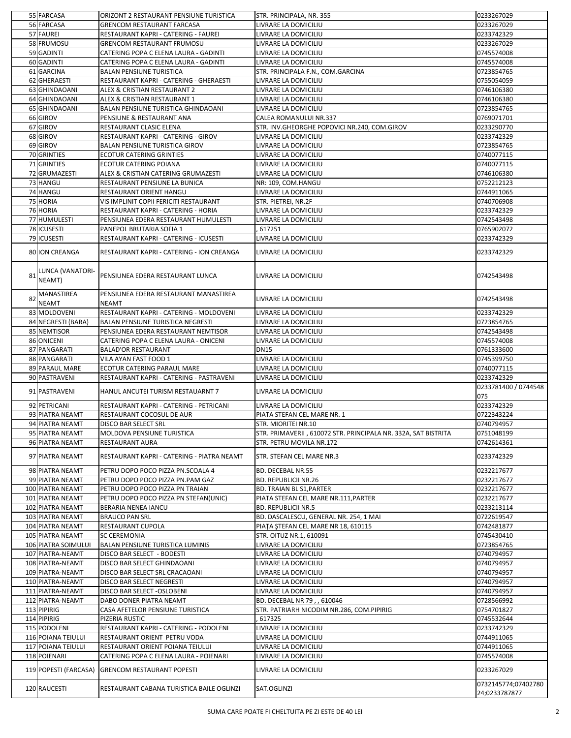|                | 55 FARCASA                               | ORIZONT 2 RESTAURANT PENSIUNE TURISTICA                               | STR. PRINCIPALA, NR. 355                                               | 0233267029                           |
|----------------|------------------------------------------|-----------------------------------------------------------------------|------------------------------------------------------------------------|--------------------------------------|
|                | 56 FARCASA                               | <b>GRENCOM RESTAURANT FARCASA</b>                                     | LIVRARE LA DOMICILIU                                                   | 0233267029                           |
|                | 57 FAUREI                                | RESTAURANT KAPRI - CATERING - FAUREI                                  | LIVRARE LA DOMICILIU                                                   | 0233742329                           |
|                | 58 FRUMOSU                               | <b>GRENCOM RESTAURANT FRUMOSU</b>                                     | LIVRARE LA DOMICILIU                                                   | 0233267029                           |
|                | 59 GADINTI                               | CATERING POPA C ELENA LAURA - GADINTI                                 | LIVRARE LA DOMICILIU                                                   | 0745574008                           |
|                | 60 GADINTI                               | CATERING POPA C ELENA LAURA - GADINTI                                 | LIVRARE LA DOMICILIU                                                   | 0745574008                           |
|                | 61 GARCINA                               | <b>BALAN PENSIUNE TURISTICA</b>                                       | STR. PRINCIPALA F.N., COM.GARCINA                                      | 0723854765                           |
|                | 62 GHERAESTI                             | RESTAURANT KAPRI - CATERING - GHERAESTI                               | LIVRARE LA DOMICILIU                                                   | 0755054059                           |
|                | 63 GHINDAOANI                            | ALEX & CRISTIAN RESTAURANT 2                                          | LIVRARE LA DOMICILIU                                                   | 0746106380                           |
|                | 64 GHINDAOANI                            | ALEX & CRISTIAN RESTAURANT 1                                          | LIVRARE LA DOMICILIU                                                   | 0746106380                           |
|                | 65 GHINDAOANI                            | <b>BALAN PENSIUNE TURISTICA GHINDAOANI</b>                            | LIVRARE LA DOMICILIU                                                   | 0723854765                           |
|                | 66 GIROV                                 | PENSIUNE & RESTAURANT ANA                                             | CALEA ROMANULUI NR.337<br>STR. INV.GHEORGHE POPOVICI NR.240, COM.GIROV | 0769071701<br>0233290770             |
|                | 67 GIROV<br>68 GIROV                     | RESTAURANT CLASIC ELENA<br>RESTAURANT KAPRI - CATERING - GIROV        | LIVRARE LA DOMICILIU                                                   | 0233742329                           |
|                | 69 GIROV                                 | <b>BALAN PENSIUNE TURISTICA GIROV</b>                                 | LIVRARE LA DOMICILIU                                                   | 0723854765                           |
|                | 70 GRINTIES                              | <b>ECOTUR CATERING GRINTIES</b>                                       | LIVRARE LA DOMICILIU                                                   | 0740077115                           |
|                | 71 GRINTIES                              | <b>ECOTUR CATERING POIANA</b>                                         | LIVRARE LA DOMICILIU                                                   | 0740077115                           |
|                | 72 GRUMAZESTI                            | <b>ALEX &amp; CRISTIAN CATERING GRUMAZESTI</b>                        | LIVRARE LA DOMICILIU                                                   | 0746106380                           |
|                | 73 HANGU                                 | RESTAURANT PENSIUNE LA BUNICA                                         | NR: 109, COM.HANGU                                                     | 0752212123                           |
|                | 74 HANGU                                 | RESTAURANT ORIENT HANGU                                               | LIVRARE LA DOMICILIU                                                   | 0744911065                           |
|                | 75 HORIA                                 | VIS IMPLINIT COPII FERICITI RESTAURANT                                | STR. PIETREI, NR.2F                                                    | 0740706908                           |
|                | 76 HORIA                                 | RESTAURANT KAPRI - CATERING - HORIA                                   | LIVRARE LA DOMICILIU                                                   | 0233742329                           |
|                | 77 HUMULESTI                             | PENSIUNEA EDERA RESTAURANT HUMULESTI                                  | LIVRARE LA DOMICILIU                                                   | 0742543498                           |
|                | 78 ICUSESTI                              | PANEPOL BRUTARIA SOFIA 1                                              | 617251                                                                 | 0765902072                           |
|                | 79 ICUSESTI                              | RESTAURANT KAPRI - CATERING - ICUSESTI                                | LIVRARE LA DOMICILIU                                                   | 0233742329                           |
|                | 80 ION CREANGA                           | RESTAURANT KAPRI - CATERING - ION CREANGA                             | <b>LIVRARE LA DOMICILIU</b>                                            | 0233742329                           |
| R <sub>1</sub> | LUNCA (VANATORI-<br>NEAMT)               | PENSIUNEA EDERA RESTAURANT LUNCA                                      | ILIVRARE LA DOMICILIU                                                  | 0742543498                           |
|                | <b>MANASTIREA</b><br><b>NEAMT</b>        | PENSIUNEA EDERA RESTAURANT MANASTIREA<br><b>NEAMT</b>                 | <b>LIVRARE LA DOMICILIU</b>                                            | 0742543498                           |
|                | 83 MOLDOVENI                             | RESTAURANT KAPRI - CATERING - MOLDOVENI                               | LIVRARE LA DOMICILIU                                                   | 0233742329                           |
|                | 84 NEGRESTI (BARA)                       | <b>BALAN PENSIUNE TURISTICA NEGRESTI</b>                              | LIVRARE LA DOMICILIU                                                   | 0723854765                           |
|                | 85 NEMTISOR                              | PENSIUNEA EDERA RESTAURANT NEMTISOR                                   | LIVRARE LA DOMICILIU                                                   | 0742543498                           |
|                | 86 ONICENI                               | CATERING POPA C ELENA LAURA - ONICENI                                 | LIVRARE LA DOMICILIU                                                   | 0745574008                           |
|                | 87 PANGARATI                             | <b>BALAD'OR RESTAURANT</b>                                            | <b>DN15</b>                                                            | 0761333600                           |
|                |                                          |                                                                       |                                                                        |                                      |
|                | 88 PANGARATI                             | VILA AYAN FAST FOOD 1                                                 | LIVRARE LA DOMICILIU                                                   | 0745399750                           |
|                | 89 PARAUL MARE                           | ECOTUR CATERING PARAUL MARE                                           | LIVRARE LA DOMICILIU                                                   | 0740077115                           |
|                | 90 PASTRAVENI                            | RESTAURANT KAPRI - CATERING - PASTRAVENI                              | LIVRARE LA DOMICILIU                                                   | 0233742329<br>0233781400 / 0744548   |
|                | 91 PASTRAVENI                            | HANUL ANCUTEI TURISM RESTAUARNT 7                                     | LIVRARE LA DOMICILIU                                                   | 075                                  |
|                | 92 PETRICANI                             | RESTAURANT KAPRI - CATERING - PETRICANI                               | LIVRARE LA DOMICILIU                                                   | 0233742329                           |
|                | 93 PIATRA NEAMT                          | RESTAURANT COCOSUL DE AUR                                             | PIATA STEFAN CEL MARE NR. 1                                            | 0722343224                           |
|                | 94 PIATRA NEAMT                          | <b>DISCO BAR SELECT SRL</b>                                           | STR. MIORITEI NR.10                                                    | 0740794957                           |
|                | 95 PIATRA NEAMT                          | MOLDOVA PENSIUNE TURISTICA                                            | STR. PRIMAVERII, 610072 STR. PRINCIPALA NR. 332A, SAT BISTRITA         | 0751048199                           |
|                | 96 PIATRA NEAMT<br>97 PIATRA NEAMT       | <b>RESTAURANT AURA</b><br>IRESTAURANT KAPRI - CATERING - PIATRA NEAMT | <b>STR. PETRU MOVILA NR.172</b><br><b>STR. STEFAN CEL MARE NR.3</b>    | 0742614361<br>0233742329             |
|                |                                          |                                                                       |                                                                        |                                      |
|                | 98 PIATRA NEAMT                          | PETRU DOPO POCO PIZZA PN.SCOALA 4                                     | <b>BD. DECEBAL NR.55</b>                                               | 0232217677                           |
|                | 99 PIATRA NEAMT                          | PETRU DOPO POCO PIZZA PN.PAM GAZ                                      | <b>BD. REPUBLICII NR.26</b>                                            | 0232217677                           |
|                | 100 PIATRA NEAMT<br>101 PIATRA NEAMT     | PETRU DOPO POCO PIZZA PN TRAIAN                                       | <b>BD. TRAIAN BL S1, PARTER</b>                                        | 0232217677<br>0232217677             |
|                | 102 PIATRA NEAMT                         | PETRU DOPO POCO PIZZA PN STEFAN(UNIC)<br><b>BERARIA NENEA IANCU</b>   | PIATA STEFAN CEL MARE NR.111, PARTER<br><b>BD. REPUBLICII NR.5</b>     | 0233213114                           |
|                | 103 PIATRA NEAMT                         | <b>BRAUCO PAN SRL</b>                                                 | BD. DASCALESCU, GENERAL NR. 254, 1 MAI                                 | 0722619547                           |
|                | 104 PIATRA NEAMT                         | <b>RESTAURANT CUPOLA</b>                                              | PIAȚA ȘTEFAN CEL MARE NR 18, 610115                                    | 0742481877                           |
|                | 105 PIATRA NEAMT                         | <b>SC CEREMONIA</b>                                                   | STR. OITUZ NR.1, 610091                                                | 0745430410                           |
|                | 106 PIATRA SOIMULUI                      | <b>BALAN PENSIUNE TURISTICA LUMINIS</b>                               | LIVRARE LA DOMICILIU                                                   | 0723854765                           |
|                | 107 PIATRA-NEAMT                         | <b>DISCO BAR SELECT - BODESTI</b>                                     | LIVRARE LA DOMICILIU                                                   | 0740794957                           |
|                | 108 PIATRA-NEAMT                         | DISCO BAR SELECT GHINDAOANI                                           | LIVRARE LA DOMICILIU                                                   | 0740794957                           |
|                | 109 PIATRA-NEAMT                         | DISCO BAR SELECT SRL CRACAOANI                                        | LIVRARE LA DOMICILIU                                                   | 0740794957                           |
|                | 110 PIATRA-NEAMT                         | <b>DISCO BAR SELECT NEGRESTI</b>                                      | LIVRARE LA DOMICILIU                                                   | 0740794957                           |
|                | 111 PIATRA-NEAMT                         | <b>DISCO BAR SELECT - OSLOBENI</b>                                    | LIVRARE LA DOMICILIU                                                   | 0740794957                           |
|                | 112 PIATRA-NEAMT                         | DABO DONER PIATRA NEAMT                                               | BD. DECEBAL NR 79,, 610046                                             | 0728566992                           |
|                | 113 PIPIRIG                              | CASA AFETELOR PENSIUNE TURISTICA                                      | STR. PATRIARH NICODIM NR.286, COM.PIPIRIG                              | 0754701827                           |
|                | 114 PIPIRIG                              | PIZERIA RUSTIC                                                        | 617325                                                                 | 0745532644                           |
|                | 115 PODOLENI                             | RESTAURANT KAPRI - CATERING - PODOLENI                                | LIVRARE LA DOMICILIU                                                   | 0233742329                           |
|                | 116 POIANA TEIULUI<br>117 POIANA TEIULUI | RESTAURANT ORIENT PETRU VODA<br>RESTAURANT ORIENT POIANA TEIULUI      | LIVRARE LA DOMICILIU<br>LIVRARE LA DOMICILIU                           | 0744911065<br>0744911065             |
|                | 118 POIENARI                             | CATERING POPA C ELENA LAURA - POIENARI                                | LIVRARE LA DOMICILIU                                                   | 0745574008                           |
|                | 119 POPESTI (FARCASA)                    | <b>GRENCOM RESTAURANT POPESTI</b>                                     | LIVRARE LA DOMICILIU                                                   | 0233267029                           |
|                | 120 RAUCESTI                             | RESTAURANT CABANA TURISTICA BAILE OGLINZI                             | SAT.OGLINZI                                                            | 0732145774;07402780<br>24;0233787877 |

SUMA CARE POATE FI CHELTUITA PE ZI ESTE DE 40 LEI 2